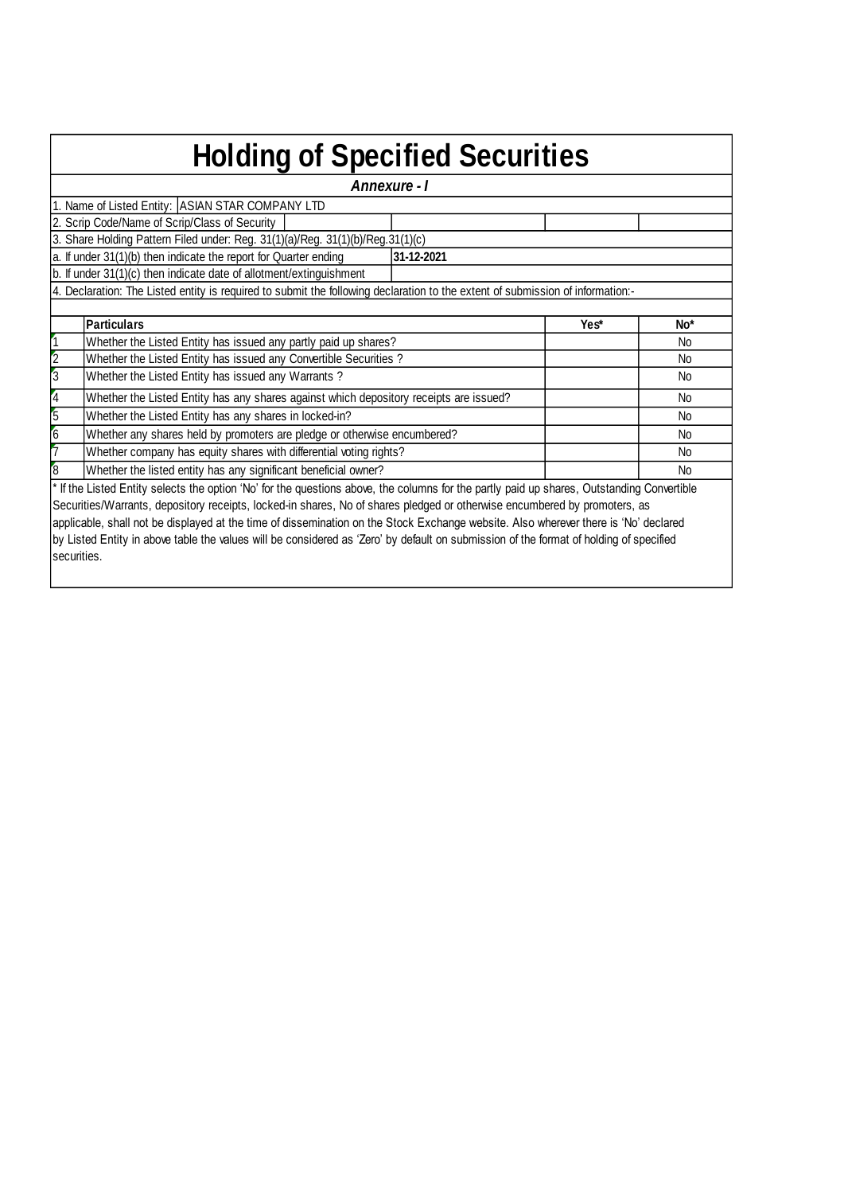| <b>Holding of Specified Securities</b>                                |                                                                                                                                            |            |      |                 |  |  |  |  |  |  |  |
|-----------------------------------------------------------------------|--------------------------------------------------------------------------------------------------------------------------------------------|------------|------|-----------------|--|--|--|--|--|--|--|
| Annexure - I                                                          |                                                                                                                                            |            |      |                 |  |  |  |  |  |  |  |
| 1. Name of Listed Entity: ASIAN STAR COMPANY LTD                      |                                                                                                                                            |            |      |                 |  |  |  |  |  |  |  |
| 2. Scrip Code/Name of Scrip/Class of Security                         |                                                                                                                                            |            |      |                 |  |  |  |  |  |  |  |
|                                                                       | 3. Share Holding Pattern Filed under: Reg. 31(1)(a)/Reg. 31(1)(b)/Reg. 31(1)(c)                                                            |            |      |                 |  |  |  |  |  |  |  |
|                                                                       | a. If under 31(1)(b) then indicate the report for Quarter ending                                                                           | 31-12-2021 |      |                 |  |  |  |  |  |  |  |
|                                                                       | $ b $ . If under 31(1)(c) then indicate date of allotment/extinguishment                                                                   |            |      |                 |  |  |  |  |  |  |  |
|                                                                       | 4. Declaration: The Listed entity is required to submit the following declaration to the extent of submission of information:-             |            |      |                 |  |  |  |  |  |  |  |
|                                                                       |                                                                                                                                            |            |      |                 |  |  |  |  |  |  |  |
|                                                                       | <b>Particulars</b>                                                                                                                         |            | Yes* | No <sup>*</sup> |  |  |  |  |  |  |  |
| 1                                                                     | Whether the Listed Entity has issued any partly paid up shares?                                                                            |            |      | No              |  |  |  |  |  |  |  |
| $\overline{c}$                                                        | Whether the Listed Entity has issued any Convertible Securities?                                                                           |            |      | No              |  |  |  |  |  |  |  |
| $\overline{3}$                                                        | Whether the Listed Entity has issued any Warrants?                                                                                         |            |      | No              |  |  |  |  |  |  |  |
| $\vert 4$                                                             | Whether the Listed Entity has any shares against which depository receipts are issued?                                                     |            |      | No              |  |  |  |  |  |  |  |
| $\overline{5}$                                                        | Whether the Listed Entity has any shares in locked-in?                                                                                     |            |      | No              |  |  |  |  |  |  |  |
| 6                                                                     | Whether any shares held by promoters are pledge or otherwise encumbered?                                                                   |            |      | No              |  |  |  |  |  |  |  |
|                                                                       | Whether company has equity shares with differential voting rights?                                                                         |            |      | No              |  |  |  |  |  |  |  |
| ľ8<br>Whether the listed entity has any significant beneficial owner? |                                                                                                                                            |            |      |                 |  |  |  |  |  |  |  |
|                                                                       | * If the Listed Entity selects the option 'No' for the questions above, the columns for the partly paid up shares, Outstanding Convertible |            |      |                 |  |  |  |  |  |  |  |
|                                                                       | Securities/Warrants, depository receipts, locked-in shares, No of shares pledged or otherwise encumbered by promoters, as                  |            |      |                 |  |  |  |  |  |  |  |
|                                                                       | applicable, shall not be displayed at the time of dissemination on the Stock Exchange website. Also wherever there is 'No' declared        |            |      |                 |  |  |  |  |  |  |  |
|                                                                       | by Listed Entity in above table the values will be considered as 'Zero' by default on submission of the format of holding of specified     |            |      |                 |  |  |  |  |  |  |  |
| lsecurities.                                                          |                                                                                                                                            |            |      |                 |  |  |  |  |  |  |  |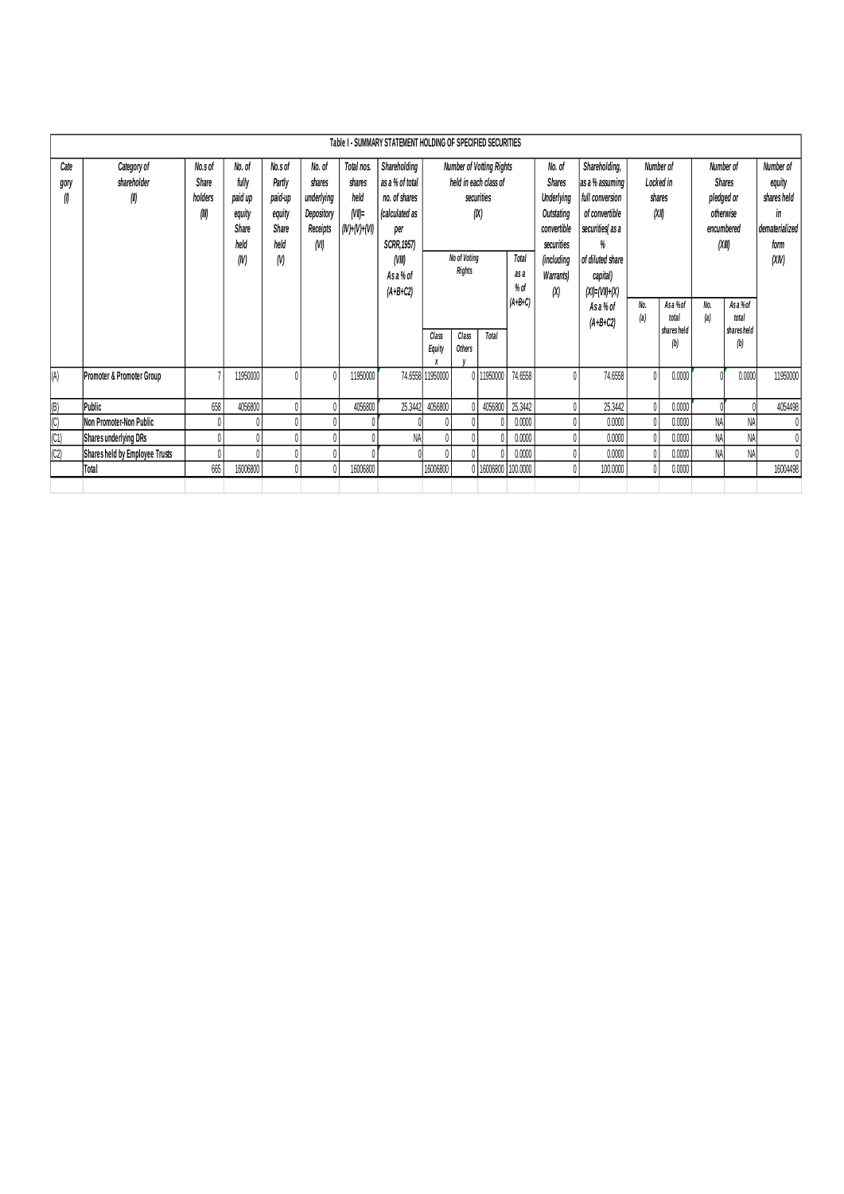|                           | Table I - SUMMARY STATEMENT HOLDING OF SPECIFIED SECURITIES |                                      |                                                                      |                                                                |                                                                  |                                                                                                                                                           |         |                               |                 |                                                                      |           |  |                                 |              |                                          |            |                                       |              |  |  |  |  |  |  |  |                         |  |                                                                                                                                                                                                                                                        |                                           |  |                                                                               |  |                                                                             |
|---------------------------|-------------------------------------------------------------|--------------------------------------|----------------------------------------------------------------------|----------------------------------------------------------------|------------------------------------------------------------------|-----------------------------------------------------------------------------------------------------------------------------------------------------------|---------|-------------------------------|-----------------|----------------------------------------------------------------------|-----------|--|---------------------------------|--------------|------------------------------------------|------------|---------------------------------------|--------------|--|--|--|--|--|--|--|-------------------------|--|--------------------------------------------------------------------------------------------------------------------------------------------------------------------------------------------------------------------------------------------------------|-------------------------------------------|--|-------------------------------------------------------------------------------|--|-----------------------------------------------------------------------------|
| Cate<br>gory<br>Ø         | Category of<br>shareholder<br>(II)                          | No.s of<br>Share<br>holders<br>(III) | No. of<br>fully<br>paid up<br>equity<br><b>Share</b><br>held<br>(IV) | No.s of<br>Partly<br>paid-up<br>equity<br>Share<br>held<br>(V) | No. of<br>shares<br>underlying<br>Depository<br>Receipts<br>(VI) | Total nos.<br>as a % of total<br>shares<br>held<br>no, of shares<br>$(VI)$ =<br>(calculated as<br>per<br>SCRR, 1957)<br>(VIII)<br>As a % of<br>$(A+B+C2)$ |         | Shareholding<br>(IV)+(V)+(VI) |                 | held in each class of<br>securities<br>(X)<br>No of Voting<br>Rights |           |  | <b>Number of Votting Rights</b> |              |                                          |            |                                       |              |  |  |  |  |  |  |  | Total<br>as a<br>$%$ of |  | Shareholding,<br>as a % assuming<br><b>Underlying</b><br>full conversion<br>Outstating<br>of convertible<br>convertible<br>securities as a<br>securities<br>%<br>of diluted share<br>(including<br>capital)<br><b>Warrants</b><br>$(XI) = (VII) + (X)$ | Number of<br>Locked in<br>shares<br>(XII) |  | Number of<br><b>Shares</b><br>pledged or<br>otherwise<br>encumbered<br>(XIII) |  | Number of<br>equity<br>shares held<br>in<br>dematerialized<br>form<br>(XIN) |
|                           |                                                             |                                      |                                                                      |                                                                |                                                                  |                                                                                                                                                           |         | Class<br><b>Equity</b>        | Class<br>Others | Total                                                                | $(A+B+C)$ |  | As a % of<br>$(A+B+C2)$         | No.<br>(a)   | As a % of<br>total<br>shares held<br>(b) | No.<br>(a) | Asa%of<br>total<br>shares held<br>(b) |              |  |  |  |  |  |  |  |                         |  |                                                                                                                                                                                                                                                        |                                           |  |                                                                               |  |                                                                             |
| (A)                       | Promoter & Promoter Group                                   |                                      | 11950000                                                             |                                                                |                                                                  | 11950000                                                                                                                                                  | 74.6558 | 1950000                       |                 | 0 11950000                                                           | 74,6558   |  | 74.6558                         | $\mathbf{0}$ | 0.0000                                   |            | 0.0000                                | 11950000     |  |  |  |  |  |  |  |                         |  |                                                                                                                                                                                                                                                        |                                           |  |                                                                               |  |                                                                             |
| $\left(\mathsf{B}\right)$ | Public                                                      | 658                                  | 4056800                                                              |                                                                |                                                                  | 4056800                                                                                                                                                   | 25.3442 | 4056800                       |                 | 4056800                                                              | 25.3442   |  | 25.3442                         | $\mathbf{0}$ | 0.0000                                   |            |                                       | 4054498      |  |  |  |  |  |  |  |                         |  |                                                                                                                                                                                                                                                        |                                           |  |                                                                               |  |                                                                             |
| $\overline{C}$            | Non Promoter-Non Public                                     |                                      |                                                                      |                                                                |                                                                  |                                                                                                                                                           |         |                               |                 |                                                                      | 0.0000    |  | 0.0000                          | 0            | 0.0000                                   | <b>NA</b>  | NA                                    | $\theta$     |  |  |  |  |  |  |  |                         |  |                                                                                                                                                                                                                                                        |                                           |  |                                                                               |  |                                                                             |
| $ C1\rangle$              | Shares underlying DRs                                       |                                      |                                                                      |                                                                |                                                                  |                                                                                                                                                           | NA      |                               |                 |                                                                      | 0.0000    |  | 0.0000                          | $\mathbf{0}$ | 0.0000                                   | NA         | NA                                    | $\mathbf{0}$ |  |  |  |  |  |  |  |                         |  |                                                                                                                                                                                                                                                        |                                           |  |                                                                               |  |                                                                             |
| $ C2\rangle$              | Shares held by Employee Trusts                              |                                      |                                                                      |                                                                |                                                                  |                                                                                                                                                           |         |                               |                 |                                                                      | 0.0000    |  | 0.0000                          | $\mathbf{0}$ | 0.0000                                   | NA         | NA                                    | $\mathbf{0}$ |  |  |  |  |  |  |  |                         |  |                                                                                                                                                                                                                                                        |                                           |  |                                                                               |  |                                                                             |
|                           | Total                                                       | 665                                  | 16006800                                                             |                                                                |                                                                  | 16006800                                                                                                                                                  |         | 16006800                      |                 | 0 16006800                                                           | 100.0000  |  | 100,0000                        | $\theta$     | 0.0000                                   |            |                                       | 16004498     |  |  |  |  |  |  |  |                         |  |                                                                                                                                                                                                                                                        |                                           |  |                                                                               |  |                                                                             |
|                           |                                                             |                                      |                                                                      |                                                                |                                                                  |                                                                                                                                                           |         |                               |                 |                                                                      |           |  |                                 |              |                                          |            |                                       |              |  |  |  |  |  |  |  |                         |  |                                                                                                                                                                                                                                                        |                                           |  |                                                                               |  |                                                                             |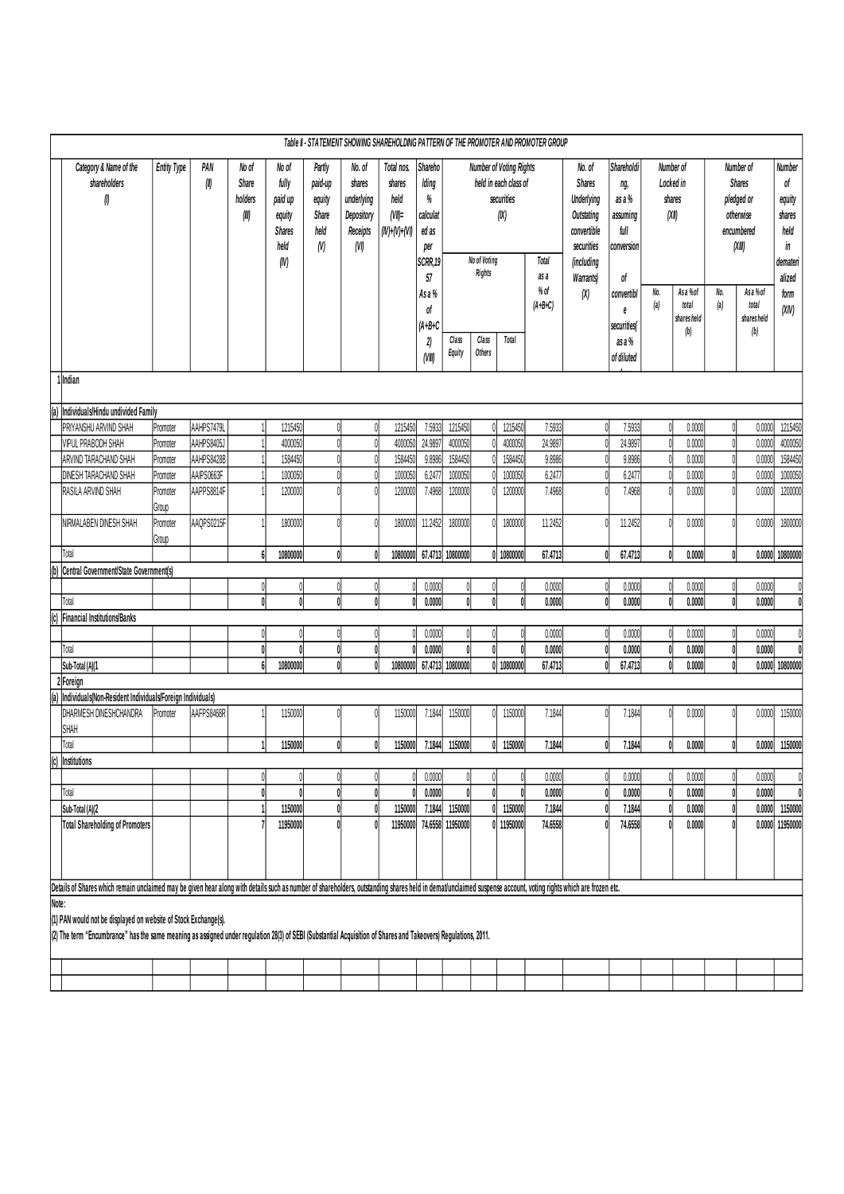|                                                                               | Table II - STATEMENT SHOWING SHAREHOLDING PATTERN OF THE PROMOTER AND PROMOTER GROUP                                                                                                                                               |                    |             |                  |          |                   |                                    |                                                              |                                                     |                                                                  |                                                             |                                                      |                           |                                                |                                                                              |            |                                                                                         |                                                             |                                  |                                     |                                                                               |  |                                                |
|-------------------------------------------------------------------------------|------------------------------------------------------------------------------------------------------------------------------------------------------------------------------------------------------------------------------------|--------------------|-------------|------------------|----------|-------------------|------------------------------------|--------------------------------------------------------------|-----------------------------------------------------|------------------------------------------------------------------|-------------------------------------------------------------|------------------------------------------------------|---------------------------|------------------------------------------------|------------------------------------------------------------------------------|------------|-----------------------------------------------------------------------------------------|-------------------------------------------------------------|----------------------------------|-------------------------------------|-------------------------------------------------------------------------------|--|------------------------------------------------|
|                                                                               | Category & Name of the<br>shareholders<br>$\emptyset$                                                                                                                                                                              | <b>Entity Type</b> | PAN<br>(II) |                  |          |                   | No of<br>Share<br>holders<br>(III) | No of<br>fully<br>paid up<br>equity<br><b>Shares</b><br>held | Partly<br>paid-up<br>equity<br>Share<br>held<br>(N) | No. of<br>shares<br>underlying<br>Depository<br>Receipts<br>(VI) | Total nos.<br>shares<br>held<br>$(VI)$ =<br>$(IV)+(V)+(VI)$ | Shareho<br>Iding<br>$\%$<br>calculat<br>ed as<br>per |                           |                                                | <b>Number of Voting Rights</b><br>held in each class of<br>securities<br>(X) |            | No. of<br><b>Shares</b><br><b>Underlying</b><br>Outstating<br>convertible<br>securities | Shareholdi<br>ng,<br>asa%<br>assuming<br>full<br>conversion | Locked in<br>(XII)               | Number of<br>shares                 | Number of<br><b>Shares</b><br>pledged or<br>otherwise<br>encumbered<br>(XIII) |  | Number<br>of<br>equity<br>shares<br>held<br>in |
|                                                                               |                                                                                                                                                                                                                                    |                    |             |                  | (N)      |                   |                                    |                                                              | SCRR, 19<br>57<br>Asa%<br>of                        |                                                                  | No of Voting<br>Rights                                      |                                                      | as a<br>% of<br>$(A+B+C)$ | Total<br>(including<br><b>Warrants)</b><br>(X) | of<br>convertibl<br>e                                                        | No.<br>(a) | Asa %of<br>total<br>shares held                                                         | No.<br>(a)                                                  | Asa % of<br>total<br>shares held | demateri<br>alized<br>form<br>(XIV) |                                                                               |  |                                                |
|                                                                               |                                                                                                                                                                                                                                    |                    |             |                  |          |                   |                                    |                                                              | $(A+B+C$<br>2)<br>(VIII)                            | Class<br>Equity                                                  | Class<br>Others                                             | Total                                                |                           |                                                | securities(<br>as a %<br>of diluted                                          |            | (b)                                                                                     |                                                             | (b)                              |                                     |                                                                               |  |                                                |
|                                                                               | 1lndian                                                                                                                                                                                                                            |                    |             |                  |          |                   |                                    |                                                              |                                                     |                                                                  |                                                             |                                                      |                           |                                                |                                                                              |            |                                                                                         |                                                             |                                  |                                     |                                                                               |  |                                                |
| l(a)                                                                          | Individuals/Hindu undivided Family                                                                                                                                                                                                 |                    |             |                  |          |                   |                                    |                                                              |                                                     |                                                                  |                                                             |                                                      |                           |                                                |                                                                              |            |                                                                                         |                                                             |                                  |                                     |                                                                               |  |                                                |
|                                                                               | PRIYANSHU ARVIND SHAH                                                                                                                                                                                                              | Promoter           | AAHPS7479L  |                  | 1215450  | 0                 | 0                                  | 1215450                                                      | 7.5933                                              | 1215450                                                          |                                                             | 1215450                                              | 7.5933                    | Λ                                              | 7.5933                                                                       |            | 0.0000                                                                                  |                                                             | 0.0000                           | 1215450                             |                                                                               |  |                                                |
|                                                                               | <b>VIPUL PRABODH SHAH</b>                                                                                                                                                                                                          | Promoter           | AAHPS8405J  |                  | 4000050  |                   | $\theta$                           | 4000050                                                      | 24.9897                                             | 4000050                                                          |                                                             | 4000050                                              | 24.9897                   |                                                | 24.9897                                                                      |            | 0.0000                                                                                  | $\sqrt{ }$                                                  | 0.0000                           | 4000050                             |                                                                               |  |                                                |
|                                                                               | ARVIND TARACHAND SHAH                                                                                                                                                                                                              | Promoter           | AAHPS8428B  |                  | 1584450  | 0                 | 0                                  | 1584450                                                      | 9.8986                                              | 1584450                                                          |                                                             | 1584450                                              | 9.8986                    |                                                | 9.8986                                                                       |            | 0.0000                                                                                  |                                                             | 0.0000                           | 1584450                             |                                                                               |  |                                                |
|                                                                               | <b>DINESH TARACHAND SHAH</b>                                                                                                                                                                                                       | Promoter           | AAIPS0663F  |                  | 1000050  |                   |                                    | 1000050                                                      | 6.2477                                              | 1000050                                                          |                                                             | 1000050                                              | 6.2477                    |                                                | 6.2477                                                                       |            | 0.0000                                                                                  |                                                             | 0.0000                           | 1000050                             |                                                                               |  |                                                |
|                                                                               | RASILA ARVIND SHAH                                                                                                                                                                                                                 | Promoter<br>Group  | AAPPS8814F  |                  | 1200000  | $\theta$          |                                    | 1200000                                                      | 7.4968                                              | 1200000                                                          |                                                             | 1200000                                              | 7.4968                    |                                                | 7.4968                                                                       |            | 0.0000                                                                                  |                                                             | 0.0000                           | 1200000                             |                                                                               |  |                                                |
|                                                                               | NIRMALABEN DINESH SHAH                                                                                                                                                                                                             | Promoter<br>Group  | AAQPS0215F  |                  | 1800000  |                   |                                    | 1800000                                                      | 11.2452                                             | 1800000                                                          |                                                             | 1800000                                              | 11.2452                   |                                                | 11.2452                                                                      |            | 0.0000                                                                                  |                                                             | 0.0000                           | 1800000                             |                                                                               |  |                                                |
|                                                                               | Total                                                                                                                                                                                                                              |                    |             | $\boldsymbol{6}$ | 10800000 | $\mathbf{0}$      | $\mathbf{0}$                       | 10800000                                                     |                                                     | 67.4713 10800000                                                 |                                                             | 0 10800000                                           | 67.4713                   | $\mathsf{n}$                                   | 67.4713                                                                      | ſ          | 0.0000                                                                                  | ſ                                                           | 0.0000                           | 10800000                            |                                                                               |  |                                                |
| (b)                                                                           | Central Government/State Government(s)                                                                                                                                                                                             |                    |             |                  |          |                   |                                    |                                                              |                                                     |                                                                  |                                                             |                                                      |                           |                                                |                                                                              |            |                                                                                         |                                                             |                                  |                                     |                                                                               |  |                                                |
|                                                                               |                                                                                                                                                                                                                                    |                    |             | 0                |          | 0                 |                                    |                                                              | 0.0000                                              |                                                                  |                                                             |                                                      | 0.0000                    |                                                | 0.0000                                                                       |            | 0.0000                                                                                  |                                                             | 0.0000                           |                                     |                                                                               |  |                                                |
|                                                                               | Total                                                                                                                                                                                                                              |                    |             | 0                |          | 0                 | 01                                 |                                                              | 0.0000                                              | ſ                                                                |                                                             |                                                      | 0.0000                    | $\mathbf{0}$                                   | 0.0000                                                                       | ſ          | 0.0000                                                                                  |                                                             | 0.0000                           |                                     |                                                                               |  |                                                |
| (c)                                                                           | <b>Financial Institutions/Banks</b>                                                                                                                                                                                                |                    |             |                  |          |                   |                                    |                                                              |                                                     |                                                                  |                                                             |                                                      |                           |                                                |                                                                              |            |                                                                                         |                                                             |                                  |                                     |                                                                               |  |                                                |
|                                                                               |                                                                                                                                                                                                                                    |                    |             | 0                |          | 0                 | 0                                  |                                                              | 0.0000                                              |                                                                  |                                                             |                                                      | 0.0000                    |                                                | 0.0000                                                                       |            | 0.0000                                                                                  |                                                             | 0.0000                           |                                     |                                                                               |  |                                                |
|                                                                               | Total                                                                                                                                                                                                                              |                    |             | $\mathbf{0}$     | 10800000 | 0<br>$\mathbf{0}$ | 0<br>0                             | 10800000                                                     | 0.0000                                              | 67.4713 10800000                                                 |                                                             | 0 10800000                                           | 0.0000<br>67.4713         |                                                | 0.0000<br>67.4713                                                            |            | 0.0000<br>0.0000                                                                        |                                                             | 0.0000<br>0.0000                 | 10800000                            |                                                                               |  |                                                |
|                                                                               | Sub-Total (A)(1                                                                                                                                                                                                                    |                    |             |                  |          |                   |                                    |                                                              |                                                     |                                                                  |                                                             |                                                      |                           |                                                |                                                                              |            |                                                                                         |                                                             |                                  |                                     |                                                                               |  |                                                |
| 2 Foreign<br>Individuals(Non-Resident Individuals/Foreign Individuals)<br>(a) |                                                                                                                                                                                                                                    |                    |             |                  |          |                   |                                    |                                                              |                                                     |                                                                  |                                                             |                                                      |                           |                                                |                                                                              |            |                                                                                         |                                                             |                                  |                                     |                                                                               |  |                                                |
|                                                                               | <b>DHARMESH DINESHCHANDRA</b><br><b>SHAH</b>                                                                                                                                                                                       | Promoter           | AAFPS8468R  |                  | 1150000  |                   |                                    | 1150000                                                      | 7.1844                                              | 1150000                                                          |                                                             | 1150000                                              | 7.1844                    |                                                | 7.1844                                                                       |            | 0.0000                                                                                  |                                                             | 0.0000                           | 1150000                             |                                                                               |  |                                                |
|                                                                               | Total                                                                                                                                                                                                                              |                    |             |                  | 1150000  | 0                 | 0                                  | 1150000                                                      | 7.1844                                              | 1150000                                                          | N                                                           | 1150000                                              | 7.1844                    | $\mathbf{0}$                                   | 7.1844                                                                       | Λ          | 0.0000                                                                                  |                                                             | 0.0000                           | 1150000                             |                                                                               |  |                                                |
| (c)                                                                           | Institutions                                                                                                                                                                                                                       |                    |             |                  |          |                   |                                    |                                                              |                                                     |                                                                  |                                                             |                                                      |                           |                                                |                                                                              |            |                                                                                         |                                                             |                                  |                                     |                                                                               |  |                                                |
|                                                                               |                                                                                                                                                                                                                                    |                    |             |                  |          | 0                 |                                    |                                                              | 0.0000                                              | $\theta$                                                         |                                                             |                                                      | 0.0000                    | 0                                              | 0.0000                                                                       | Λ          | 0.0000                                                                                  |                                                             | 0.0000                           | 0                                   |                                                                               |  |                                                |
|                                                                               | Total                                                                                                                                                                                                                              |                    |             |                  |          | $\mathbf{0}$      |                                    |                                                              | 0.0000                                              |                                                                  |                                                             |                                                      | 0.0000                    |                                                | 0.0000                                                                       |            | 0.0000                                                                                  |                                                             | 0.0000                           | $\mathbf{0}$                        |                                                                               |  |                                                |
|                                                                               | Sub-Total (A)(2                                                                                                                                                                                                                    |                    |             |                  | 1150000  | $\pmb{0}$         | 0                                  | 1150000                                                      | 7.1844                                              | 1150000                                                          |                                                             | 1150000                                              | 7.1844                    |                                                | 7.1844                                                                       |            | 0.0000                                                                                  |                                                             | 0.0000                           | 1150000                             |                                                                               |  |                                                |
|                                                                               | <b>Total Shareholding of Promoters</b>                                                                                                                                                                                             |                    |             |                  | 11950000 | 0                 |                                    | 11950000                                                     |                                                     | 74.6558 11950000                                                 | 01                                                          | 11950000                                             | 74.6558                   |                                                | 74.6558                                                                      |            | 0.0000                                                                                  |                                                             | 0.0000                           | 11950000                            |                                                                               |  |                                                |
|                                                                               | Details of Shares which remain unclaimed may be given hear along with details such as number of shareholders, outstanding shares held in demat/unclaimed suspense account, voting rights which are frozen etc.                     |                    |             |                  |          |                   |                                    |                                                              |                                                     |                                                                  |                                                             |                                                      |                           |                                                |                                                                              |            |                                                                                         |                                                             |                                  |                                     |                                                                               |  |                                                |
| Note:                                                                         | (1) PAN would not be displayed on website of Stock Exchange(s).<br>(2) The term "Encumbrance" has the same meaning as assigned under regulation 28(3) of SEBI (Substantial Acquisition of Shares and Takeovers) Regulations, 2011. |                    |             |                  |          |                   |                                    |                                                              |                                                     |                                                                  |                                                             |                                                      |                           |                                                |                                                                              |            |                                                                                         |                                                             |                                  |                                     |                                                                               |  |                                                |
|                                                                               |                                                                                                                                                                                                                                    |                    |             |                  |          |                   |                                    |                                                              |                                                     |                                                                  |                                                             |                                                      |                           |                                                |                                                                              |            |                                                                                         |                                                             |                                  |                                     |                                                                               |  |                                                |